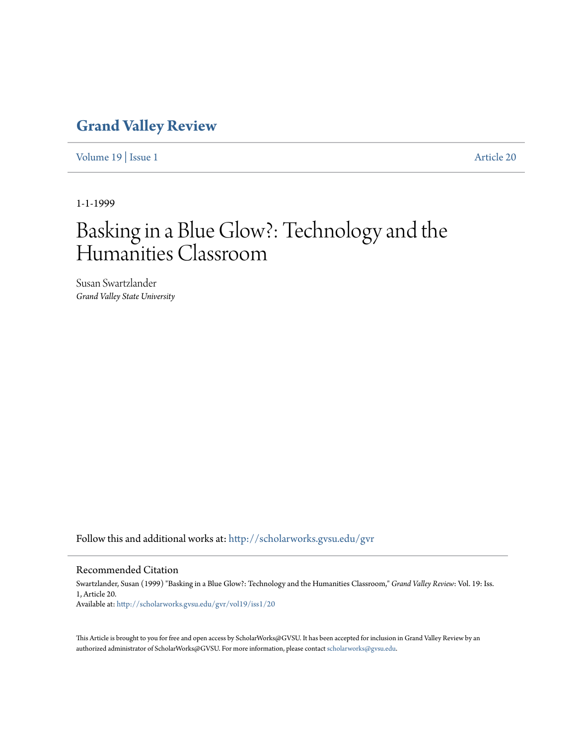## **[Grand Valley Review](http://scholarworks.gvsu.edu/gvr?utm_source=scholarworks.gvsu.edu%2Fgvr%2Fvol19%2Fiss1%2F20&utm_medium=PDF&utm_campaign=PDFCoverPages)**

[Volume 19](http://scholarworks.gvsu.edu/gvr/vol19?utm_source=scholarworks.gvsu.edu%2Fgvr%2Fvol19%2Fiss1%2F20&utm_medium=PDF&utm_campaign=PDFCoverPages) | [Issue 1](http://scholarworks.gvsu.edu/gvr/vol19/iss1?utm_source=scholarworks.gvsu.edu%2Fgvr%2Fvol19%2Fiss1%2F20&utm_medium=PDF&utm_campaign=PDFCoverPages) [Article 20](http://scholarworks.gvsu.edu/gvr/vol19/iss1/20?utm_source=scholarworks.gvsu.edu%2Fgvr%2Fvol19%2Fiss1%2F20&utm_medium=PDF&utm_campaign=PDFCoverPages)

1-1-1999

# Basking in a Blue Glow?: Technology and the Humanities Classroom

Susan Swartzlander *Grand Valley State University*

Follow this and additional works at: [http://scholarworks.gvsu.edu/gvr](http://scholarworks.gvsu.edu/gvr?utm_source=scholarworks.gvsu.edu%2Fgvr%2Fvol19%2Fiss1%2F20&utm_medium=PDF&utm_campaign=PDFCoverPages)

#### Recommended Citation

Swartzlander, Susan (1999) "Basking in a Blue Glow?: Technology and the Humanities Classroom," *Grand Valley Review*: Vol. 19: Iss. 1, Article 20. Available at: [http://scholarworks.gvsu.edu/gvr/vol19/iss1/20](http://scholarworks.gvsu.edu/gvr/vol19/iss1/20?utm_source=scholarworks.gvsu.edu%2Fgvr%2Fvol19%2Fiss1%2F20&utm_medium=PDF&utm_campaign=PDFCoverPages)

This Article is brought to you for free and open access by ScholarWorks@GVSU. It has been accepted for inclusion in Grand Valley Review by an authorized administrator of ScholarWorks@GVSU. For more information, please contact [scholarworks@gvsu.edu.](mailto:scholarworks@gvsu.edu)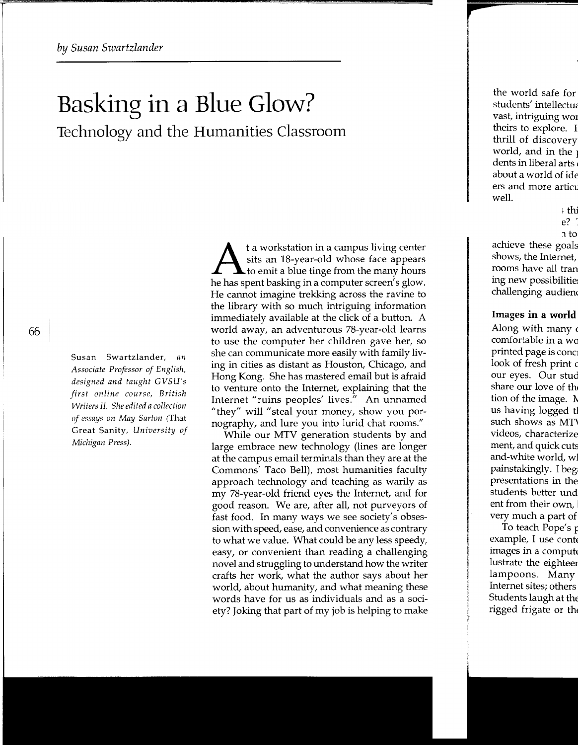# Basking in a Blue Glow? Technology and the Humanities Classroom

Susan Swartzlander, *an Associate Professor of English, designed and taught GVSU's first online course, British Writers II. She edited a collection of essays on May Sarton* (That Great Sanity, *University of Michigan Press).* 

t a workstation in a campus living center<br>sits an 18-year-old whose face appears<br>to emit a blue tinge from the many hours sits an 18-year-old whose face appears he has spent basking in a computer screen's glow. He cannot imagine trekking across the ravine to the library with so much intriguing information immediately available at the click of a button. A world away, an adventurous 78-year-old learns to use the computer her children gave her, so she can communicate more easily with family living in cities as distant as Houston, Chicago, and Hong Kong. She has mastered email but is afraid to venture onto the Internet, explaining that the Internet "ruins peoples' lives." An unnamed "they" will "steal your money, show you pornography, and lure you into lurid chat rooms."

While our MTV generation students by and large embrace new technology (lines are longer at the campus email terminals than they are at the Commons' Taco Bell), most humanities faculty approach technology and teaching as warily as my 78-year-old friend eyes the Internet, and for good reason. We are, after all, not purveyors of fast food. In many ways we see society's obsession with speed, ease, and convenience as contrary to what we value. What could be any less speedy, easy, or convenient than reading a challenging novel and struggling to understand how the writer crafts her work, what the author says about her world, about humanity, and what meaning these words have for us as individuals and as a society? Joking that part of my job is helping to make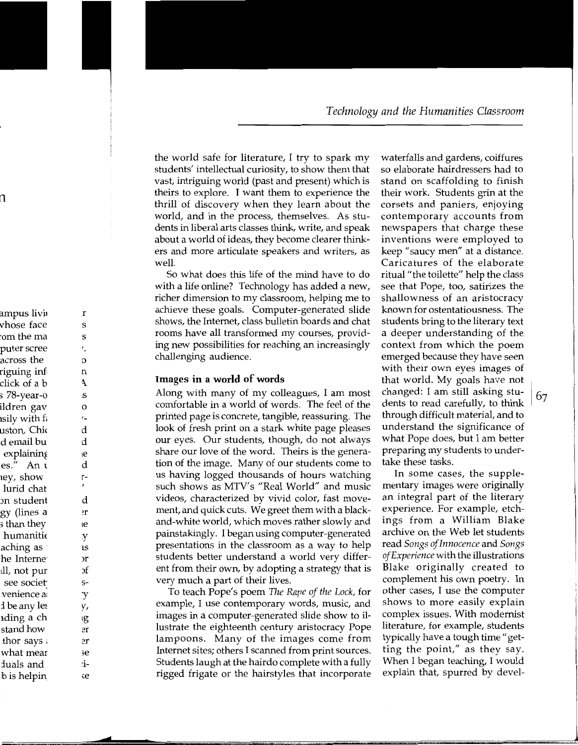the world safe for literature, I try to spark my students' intellectual curiosity, to show them that vast, intriguing world (past and present) which is theirs to explore. I want them to experience the thrill of discovery when they learn about the world, and in the process, themselves. As students in liberal arts classes think, write, and speak about a world of ideas, they become clearer thinkers and more articulate speakers and writers, as well.

So what does this life of the mind have to do with a life online? Technology has added a new, richer dimension to my classroom, helping me to achieve these goals. Computer-generated slide shows, the Internet, class bulletin boards and chat rooms have all transformed my courses, providing new possibilities for reaching an increasingly challenging audience.

#### **Images in a world of words**

Along with many of my colleagues, I am most comfortable in a world of words. The feel of the printed page is concrete, tangible, reassuring. The look of fresh print on a stark white page pleases our eyes. Our students, though, do not always share our love of the word. Theirs is the generation of the image. Many of our students come to us having logged thousands of hours watching such shows as MTV's "Real World" and music videos, characterized by vivid color, fast movement, and quick cuts. We greet them with a blackand-white world, which moves rather slowly and painstakingly. I began using computer-generated presentations in the classroom as a way to help students better understand a world very different from their own, by adopting a strategy that is very much a part of their lives.

To teach Pope's poem *The Rape of the Lock,* for example, I use contemporary words, music, and images in a computer-generated slide show to illustrate the eighteenth century aristocracy Pope lampoons. Many of the images come from Internet sites; others I scanned from print sources. Students laugh at the hairdo complete with a fully rigged frigate or the hairstyles that incorporate

waterfalls and gardens, coiffures so elaborate hairdressers had to stand on scaffolding to finish their work. Students grin at the corsets and paniers, enjoying contemporary accounts from newspapers that charge these inventions were employed to keep "saucy men" at a distance. Caricatures of the elaborate ritual "the toilette" help the class see that Pope, too, satirizes the shallowness of an aristocracy known for ostentatiousness. The students bring to the literary text a deeper understanding of the context from which the poem emerged because they have seen with their own eyes images of that world. My goals have not changed: I am still asking stu-<br>dents to read carefully, to think  $\left|67\right|$ through difficult material, and to understand the significance of what Pope does, but I am better preparing my students to undertake these tasks.

In some cases, the supplementary images were originally an integral part of the literary experience. For example, etchings from a William Blake archive on the Web let students read *Songs of Innocence* and *Songs of Experience* with the illustrations Blake originally created to complement his own poetry. In other cases, I use the computer shows to more easily explain complex issues. With modernist literature, for example, students typically have a tough time "getting the point," as they say. When I began teaching, I would explain that, spurred by devel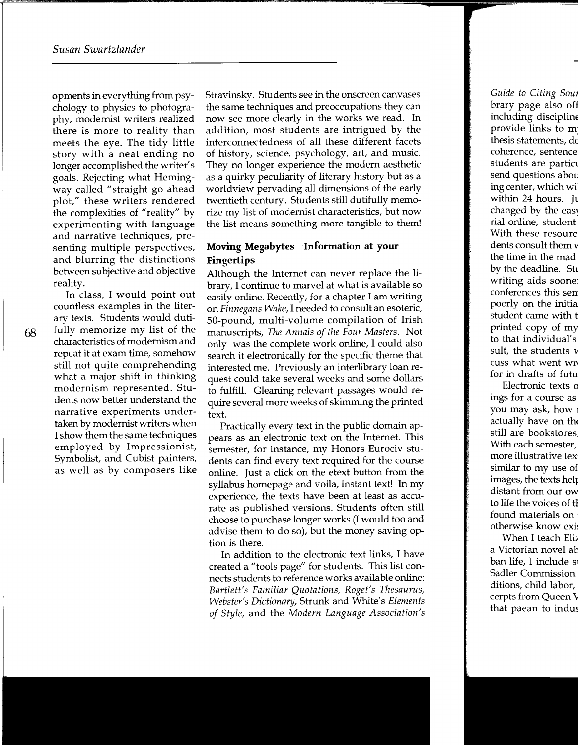opments in everything from psychology to physics to photography, modernist writers realized there is more to reality than meets the eye. The tidy little story with a neat ending no longer accomplished the writer's goals. Rejecting what Hemingway called "straight go ahead plot," these writers rendered the complexities of "reality" by experimenting with language and narrative techniques, presenting multiple perspectives, and blurring the distinctions between subjective and objective reality.

In class, I would point out countless examples in the literary texts. Students would dutifully memorize my list of the characteristics of modernism and repeat it at exam time, somehow still not quite comprehending what a major shift in thinking modernism represented. Students now better understand the narrative experiments undertaken by modernist writers when I show them the same techniques employed by Impressionist, Symbolist, and Cubist painters, as well as by composers like

Stravinsky. Students see in the onscreen canvases the same techniques and preoccupations they can now see more clearly in the works we read. In addition, most students are intrigued by the interconnectedness of all these different facets of history, science, psychology, art, and music. They no longer experience the modern aesthetic as a quirky peculiarity of literary history but as a worldview pervading all dimensions of the early twentieth century. Students still dutifully memorize my list of modernist characteristics, but now the list means something more tangible to them!

### **Moving Megabytes-Information at your Fingertips**

Although the Internet can never replace the library, I continue to marvel at what is available so easily online. Recently, for a chapter I am writing on *Finnegans Wake,* I needed to consult an esoteric, 50-pound, multi-volume compilation of Irish manuscripts, *The Annals of the Four Masters.* Not only was the complete work online, I could also search it electronically for the specific theme that interested me. Previously an interlibrary loan request could take several weeks and some dollars to fulfill. Gleaning relevant passages would require several more weeks of skimming the printed text.

Practically every text in the public domain appears as an electronic text on the Internet. This semester, for instance, my Honors Eurociv students can find every text required for the course online. Just a click on the etext button from the syllabus homepage and voila, instant text! In my experience, the texts have been at least as accurate as published versions. Students often still choose to purchase longer works (I would too and advise them to do so), but the money saving option is there.

In addition to the electronic text links, I have created a "tools page" for students. This list connects students to reference works available online: Bartlett's Familiar Quotations, Roget's Thesaurus, *Webster's Dictionary,* Strunk and White's *Elements of Style,* and the *Modern Language Association's*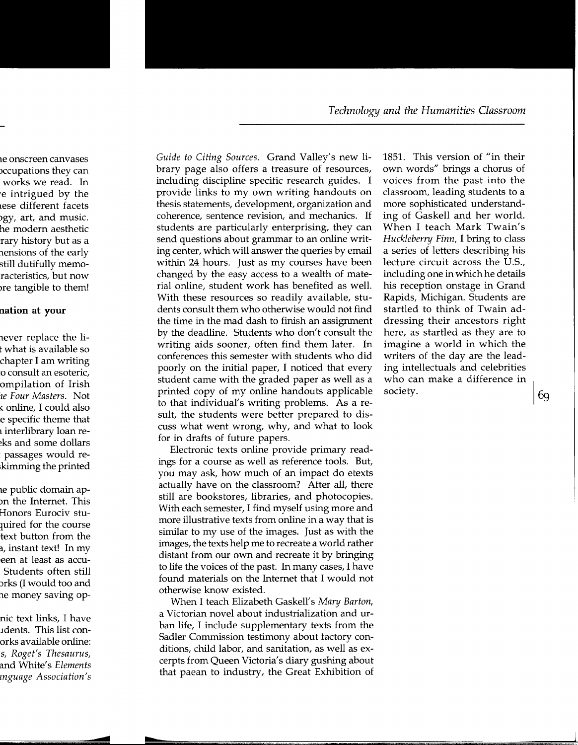*Guide to Citing Sources.* Grand Valley's new library page also offers a treasure of resources, including discipline specific research guides. I provide links to my own writing handouts on thesis statements, development, organization and coherence, sentence revision, and mechanics. If students are particularly enterprising, they can send questions about grammar to an online writing center, which will answer the queries by email within 24 hours. Just as my courses have been changed by the easy access to a wealth of material online, student work has benefited as well. With these resources so readily available, students consult them who otherwise would not find the time in the mad dash to finish an assignment by the deadline. Students who don't consult the writing aids sooner, often find them later. In conferences this semester with students who did poorly on the initial paper, I noticed that every student came with the graded paper as well as a printed copy of my online handouts applicable to that individual's writing problems. As a result, the students were better prepared to discuss what went wrong, why, and what to look for in drafts of future papers.

Electronic texts online provide primary readings for a course as well as reference tools. But, you may ask, how much of an impact do etexts actually have on the classroom? After all, there still are bookstores, libraries, and photocopies. With each semester, I find myself using more and more illustrative texts from online in a way that is similar to my use of the images. Just as with the images, the texts help me to recreate a world rather distant from our own and recreate it by bringing to life the voices of the past. In many cases, I have found materials on the Internet that I would not otherwise know existed.

When I teach Elizabeth Gaskell's *Mary Barton,*  a Victorian novel about industrialization and urban life, I include supplementary texts from the Sadler Commission testimony about factory conditions, child labor, and sanitation, as well as excerpts from Queen Victoria's diary gushing about that paean to industry, the Great Exhibition of 1851. This version of "in their own words" brings a chorus of voices from the past into the classroom, leading students to a more sophisticated understanding of Gaskell and her world. When I teach Mark Twain's *Huckleberry Finn,* I bring to class a series of letters describing his lecture circuit across the U.S., including one in which he details his reception onstage in Grand Rapids, Michigan. Students are startled to think of Twain addressing their ancestors right here, as startled as they are to imagine a world in which the writers of the day are the leading intellectuals and celebrities who can make a difference in society.  $\boxed{69}$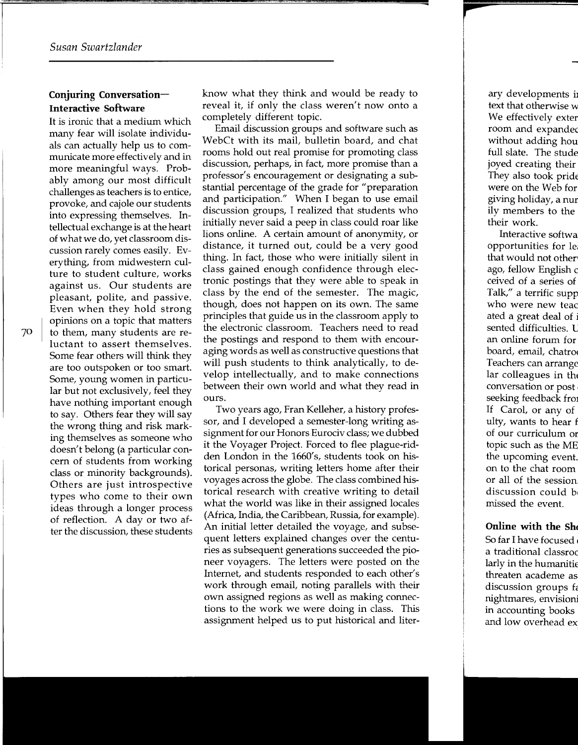### **Conjuring Conversation-Interactive Software**

It is ironic that a medium which many fear will isolate individuals can actually help us to communicate more effectively and in more meaningful ways. Probably among our most difficult challenges as teachers is to entice, provoke, and cajole our students into expressing themselves. Intellectual exchange is at the heart of what we do, yet classroom discussion rarely comes easily. Everything, from midwestern culture to student culture, works against us. Our students are pleasant, polite, and passive. Even when they hold strong opinions on a topic that matters to them, many students are reluctant to assert themselves. Some fear others will think they are too outspoken or too smart. Some, young women in particular but not exclusively, feel they have nothing important enough to say. Others fear they will say the wrong thing and risk marking themselves as someone who doesn't belong (a particular concern of students from working class or minority backgrounds). Others are just introspective types who come to their own ideas through a longer process of reflection. A day or two after the discussion, these students know what they think and would be ready to reveal it, if only the class weren't now onto a completely different topic.

Email discussion groups and software such as WebCt with its mail, bulletin board, and chat rooms hold out real promise for promoting class discussion, perhaps, in fact, more promise than a professor's encouragement or designating a substantial percentage of the grade for "preparation and participation." When I began to use email discussion groups, I realized that students who initially never said a peep in class could roar like lions online. A certain amount of anonymity, or distance, it turned out, could be a very good thing. In fact, those who were initially silent in class gained enough confidence through electronic postings that they were able to speak in class by the end of the semester. The magic, though, does not happen on its own. The same principles that guide us in the classroom apply to the electronic classroom. Teachers need to read the postings and respond to them with encouraging words as well as constructive questions that will push students to think analytically, to develop intellectually, and to make connections between their own world and what they read in ours.

Two years ago, Fran Kelleher, a history professor, and I developed a semester-long writing assignment for our Honors Eurociv class; we dubbed it the Voyager Project. Forced to flee plague-ridden London in the 1660's, students took on historical personas, writing letters home after their voyages across the globe. The class combined historical research with creative writing to detail what the world was like in their assigned locales (Africa, India, the Caribbean, Russia, for example). An initial letter detailed the voyage, and subsequent letters explained changes over the centuries as subsequent generations succeeded the pioneer voyagers. The letters were posted on the Internet, and students responded to each other's work through email, noting parallels with their own assigned regions as well as making connections to the work we were doing in class. This assignment helped us to put historical and liter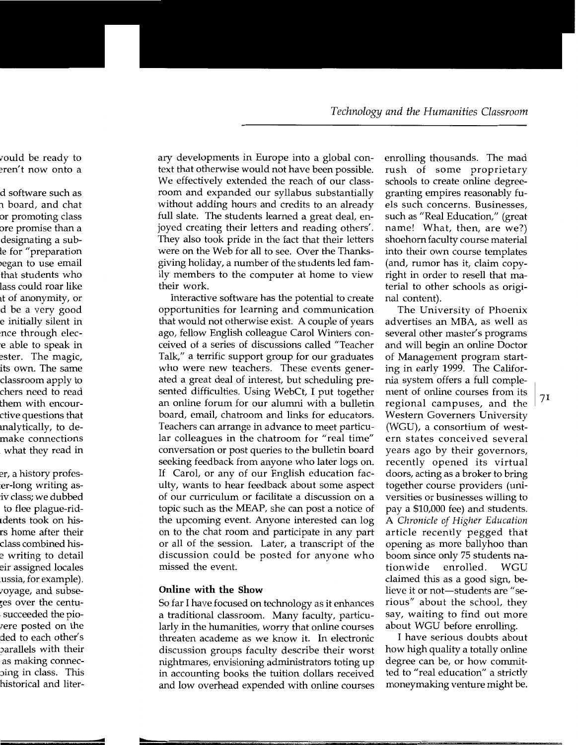ary developments in Europe into a global context that otherwise would not have been possible. We effectively extended the reach of our classroom and expanded our syllabus substantially without adding hours and credits to an already full slate. The students learned a great deal, enjoyed creating their letters and reading others'. They also took pride in the fact that their letters were on the Web for all to see. Over the Thanksgiving holiday, a number of the students led family members to the computer at home to view their work.

Interactive software has the potential to create opportunities for learning and communication that would not otherwise exist. A couple of years ago, fellow English colleague Carol Winters conceived of a series of discussions called "Teacher Talk," a terrific support group for our graduates who were new teachers. These events generated a great deal of interest, but scheduling presented difficulties. Using WebCt, I put together an online forum for our alumni with a bulletin board, email, chatroom and links for educators. Teachers can arrange in advance to meet particular colleagues in the chatroom for "real time" conversation or post queries to the bulletin board seeking feedback from anyone who later logs on. If Carol, or any of our English education faculty, wants to hear feedback about some aspect of our curriculum or facilitate a discussion on a topic such as the MEAP, she can post a notice of the upcoming event. Anyone interested can log on to the chat room and participate in any part or all of the session. Later, a transcript of the discussion could be posted for anyone who missed the event.

#### **Online with the Show**

So far I have focused on technology as it enhances a traditional classroom. Many faculty, particularly in the humanities, worry that online courses threaten academe as we know it. In electronic discussion groups faculty describe their worst nightmares, envisioning administrators toting up in accounting books the tuition dollars received and low overhead expended with online courses

enrolling thousands. The mad rush of some proprietary schools to create online degreegranting empires reasonably fuels such concerns. Businesses, such as "Real Education," (great name! What, then, are we?) shoehorn faculty course material into their own course templates (and, rumor has it, claim copyright in order to resell that material to other schools as original content).

The University of Phoenix advertises an MBA, as well as several other master's programs and will begin an online Doctor of Management program starting in early 1999. The California system offers a full complement of online courses from its 1 regional campuses, and the  $71$ Western Governers University (WGU), a consortium of western states conceived several years ago by their governors, recently opened its virtual doors, acting as a broker to bring together course providers (universities or businesses willing to pay a \$10,000 fee) and students. A *Chronicle of Higher Education*  article recently pegged that opening as more ballyhoo than boom since only 75 students nationwide enrolled. WGU claimed this as a good sign, believe it or not-students are "serious" about the school, they say, waiting to find out more about WGU before enrolling.

I have serious doubts about how high quality a totally online degree can be, or how committed to "real education" a strictly moneymaking venture might be.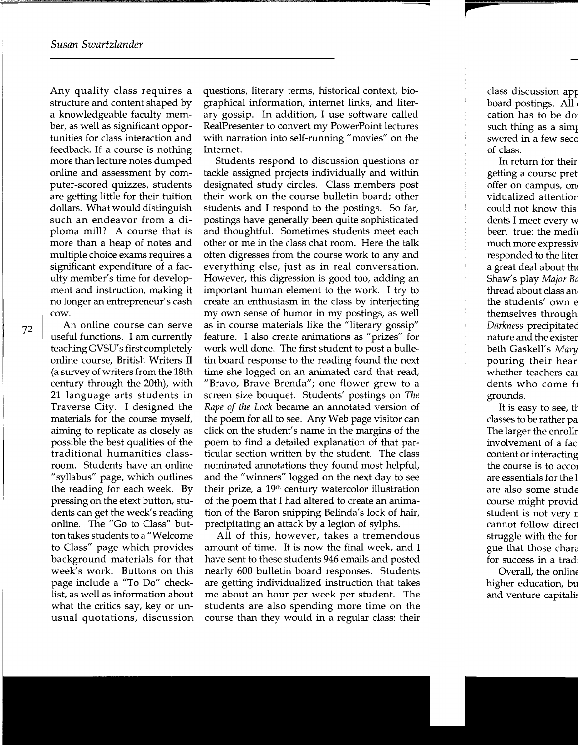Any quality class requires a structure and content shaped by a knowledgeable faculty member, as well as significant opportunities for class interaction and feedback. If a course is nothing more than lecture notes dumped online and assessment by computer-scored quizzes, students are getting little for their tuition dollars. What would distinguish such an endeavor from a diploma mill? A course that is more than a heap of notes and multiple choice exams requires a significant expenditure of a faculty member's time for development and instruction, making it no longer an entrepreneur's cash cow.

An online course can serve useful functions. I am currently teaching GVSU' s first completely online course, British Writers II (a survey of writers from the 18th century through the 20th), with 21 language arts students in Traverse City. I designed the materials for the course myself, aiming to replicate as closely as possible the best qualities of the traditional humanities classroom. Students have an online "syllabus" page, which outlines the reading for each week. By pressing on the etext button, students can get the week's reading online. The "Go to Class" button takes students to a "Welcome to Class" page which provides background materials for that week's work. Buttons on this page include a "To Do" checklist, as well as information about what the critics say, key or unusual quotations, discussion

questions, literary terms, historical context, biographical information, internet links, and literary gossip. In addition, I use software called RealPresenter to convert my PowerPoint lectures with narration into self-running "movies" on the Internet.

Students respond to discussion questions or tackle assigned projects individually and within designated study circles. Class members post their work on the course bulletin board; other students and I respond to the postings. So far, postings have generally been quite sophisticated and thoughtful. Sometimes students meet each other or me in the class chat room. Here the talk often digresses from the course work to any and everything else, just as in real conversation. However, this digression is good too, adding an important human element to the work. I try to create an enthusiasm in the class by interjecting my own sense of humor in my postings, as well as in course materials like the "literary gossip" feature. I also create animations as "prizes" for work well done. The first student to post a bulletin board response to the reading found the next time she logged on an animated card that read, "Bravo, Brave Brenda"; one flower grew to a screen size bouquet. Students' postings on *The Rape of the Lock* became an annotated version of the poem for all to see. Any Web page visitor can click on the student's name in the margins of the poem to find a detailed explanation of that particular section written by the student. The class nominated annotations they found most helpful, and the "winners" logged on the next day to see their prize, a  $19<sup>th</sup>$  century watercolor illustration of the poem that I had altered to create an animation of the Baron snipping Belinda's lock of hair, precipitating an attack by a legion of sylphs.

All of this, however, takes a tremendous amount of time. It is now the final week, and I have sent to these students 946 emails and posted nearly 600 bulletin board responses. Students are getting individualized instruction that takes me about an hour per week per student. The students are also spending more time on the course than they would in a regular class: their